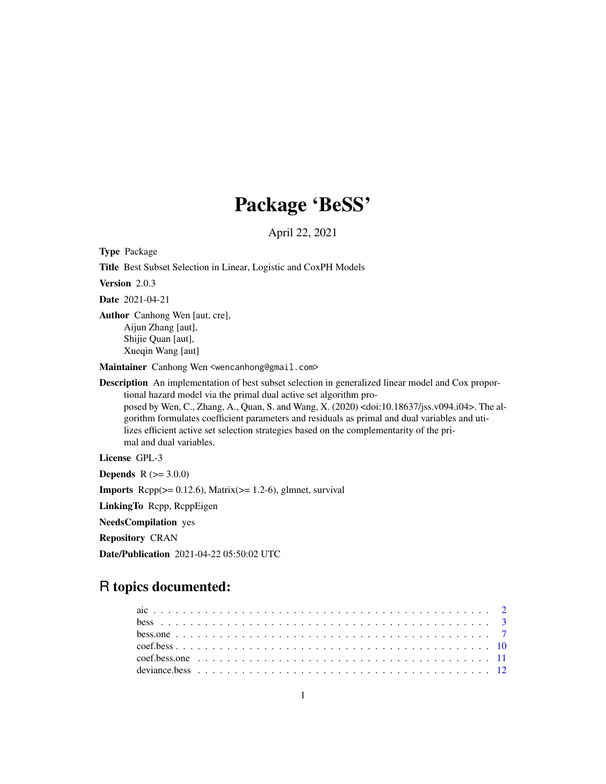# Package 'BeSS'

April 22, 2021

Type Package

Title Best Subset Selection in Linear, Logistic and CoxPH Models Version 2.0.3 Date 2021-04-21 Author Canhong Wen [aut, cre], Aijun Zhang [aut], Shijie Quan [aut], Xueqin Wang [aut] Maintainer Canhong Wen <wencanhong@gmail.com> Description An implementation of best subset selection in generalized linear model and Cox proportional hazard model via the primal dual active set algorithm proposed by Wen, C., Zhang, A., Quan, S. and Wang, X. (2020) <doi:10.18637/jss.v094.i04>. The algorithm formulates coefficient parameters and residuals as primal and dual variables and utilizes efficient active set selection strategies based on the complementarity of the pri-

mal and dual variables.

License GPL-3

**Depends** R  $(>= 3.0.0)$ 

**Imports** Rcpp( $>= 0.12.6$ ), Matrix( $>= 1.2-6$ ), glmnet, survival

LinkingTo Rcpp, RcppEigen

NeedsCompilation yes

Repository CRAN

Date/Publication 2021-04-22 05:50:02 UTC

# R topics documented: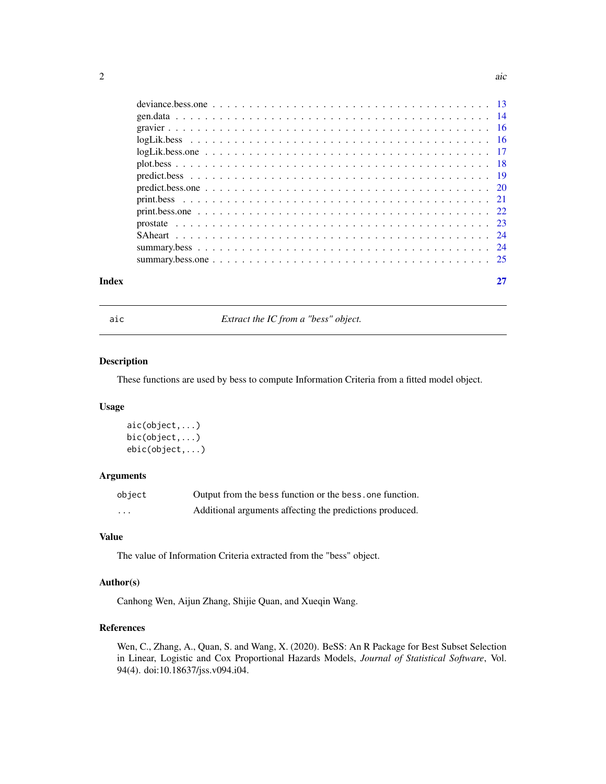<span id="page-1-0"></span>

| Index |  |
|-------|--|
|       |  |
|       |  |
|       |  |
|       |  |
|       |  |
|       |  |
|       |  |
|       |  |
|       |  |
|       |  |
|       |  |
|       |  |
|       |  |
|       |  |

aic *Extract the IC from a "bess" object.*

# Description

These functions are used by bess to compute Information Criteria from a fitted model object.

# Usage

```
aic(object,...)
bic(object,...)
ebic(object,...)
```
# Arguments

| object                  | Output from the bess function or the bess, one function. |
|-------------------------|----------------------------------------------------------|
| $\cdot$ $\cdot$ $\cdot$ | Additional arguments affecting the predictions produced. |

#### Value

The value of Information Criteria extracted from the "bess" object.

# Author(s)

Canhong Wen, Aijun Zhang, Shijie Quan, and Xueqin Wang.

# References

Wen, C., Zhang, A., Quan, S. and Wang, X. (2020). BeSS: An R Package for Best Subset Selection in Linear, Logistic and Cox Proportional Hazards Models, *Journal of Statistical Software*, Vol. 94(4). doi:10.18637/jss.v094.i04.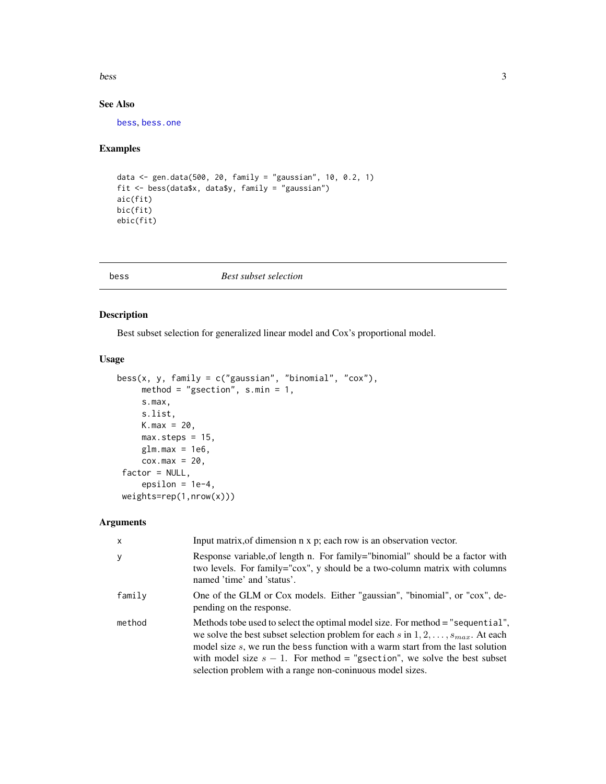<span id="page-2-0"></span>bess 3

# See Also

[bess](#page-2-1), [bess.one](#page-6-1)

# Examples

```
data <- gen.data(500, 20, family = "gaussian", 10, 0.2, 1)
fit <- bess(data$x, data$y, family = "gaussian")
aic(fit)
bic(fit)
ebic(fit)
```
<span id="page-2-1"></span>

#### bess *Best subset selection*

# Description

Best subset selection for generalized linear model and Cox's proportional model.

# Usage

```
bess(x, y, family = c("gaussian", "binomial", "cox"),method = "gsection", s.min = 1,
     s.max,
     s.list,
     K.max = 20,max.steps = 15,
     glm.max = 1e6,\cos \cdot \text{max} = 20,
 factor = NULL,
     epsilon = 1e-4,
weights=rep(1,nrow(x)))
```
# Arguments

| $\boldsymbol{\mathsf{x}}$ | Input matrix, of dimension n x p; each row is an observation vector.                                                                                                                                                                                                                                                                                                                                          |
|---------------------------|---------------------------------------------------------------------------------------------------------------------------------------------------------------------------------------------------------------------------------------------------------------------------------------------------------------------------------------------------------------------------------------------------------------|
| y                         | Response variable, of length n. For family="binomial" should be a factor with<br>two levels. For family="cox", y should be a two-column matrix with columns<br>named 'time' and 'status'.                                                                                                                                                                                                                     |
| family                    | One of the GLM or Cox models. Either "gaussian", "binomial", or "cox", de-<br>pending on the response.                                                                                                                                                                                                                                                                                                        |
| method                    | Methods to be used to select the optimal model size. For method = "sequential",<br>we solve the best subset selection problem for each s in $1, 2, \ldots, s_{max}$ . At each<br>model size s, we run the bess function with a warm start from the last solution<br>with model size $s - 1$ . For method = "g section", we solve the best subset<br>selection problem with a range non-coninuous model sizes. |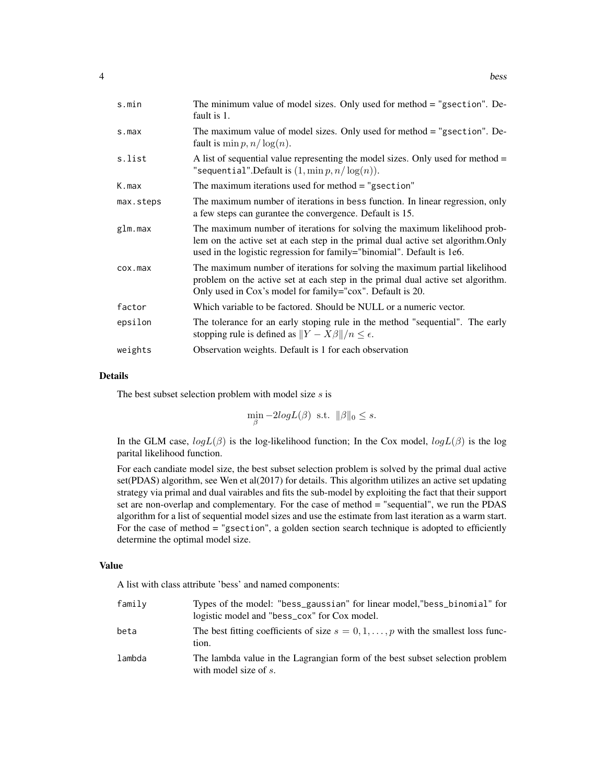| s.min               | The minimum value of model sizes. Only used for method = "gsection". De-<br>fault is 1.                                                                                                                                                 |
|---------------------|-----------------------------------------------------------------------------------------------------------------------------------------------------------------------------------------------------------------------------------------|
| $s$ . max           | The maximum value of model sizes. Only used for method = "gsection". De-<br>fault is min $p, n/\log(n)$ .                                                                                                                               |
| s.list              | A list of sequential value representing the model sizes. Only used for method $=$<br>"sequential".Default is $(1, \min p, n/\log(n))$ .                                                                                                 |
| K.max               | The maximum iterations used for method $=$ "g section"                                                                                                                                                                                  |
| max.steps           | The maximum number of iterations in bess function. In linear regression, only<br>a few steps can gurantee the convergence. Default is 15.                                                                                               |
| glm.max             | The maximum number of iterations for solving the maximum likelihood prob-<br>lem on the active set at each step in the primal dual active set algorithm. Only<br>used in the logistic regression for family="binomial". Default is 1e6. |
| $\cos \theta$ . max | The maximum number of iterations for solving the maximum partial likelihood<br>problem on the active set at each step in the primal dual active set algorithm.<br>Only used in Cox's model for family="cox". Default is 20.             |
| factor              | Which variable to be factored. Should be NULL or a numeric vector.                                                                                                                                                                      |
| epsilon             | The tolerance for an early stoping rule in the method "sequential". The early<br>stopping rule is defined as $  Y - X\beta  /n \le \epsilon$ .                                                                                          |
| weights             | Observation weights. Default is 1 for each observation                                                                                                                                                                                  |

#### Details

The best subset selection problem with model size  $s$  is

 $\min_{\beta} -2logL(\beta)$  s.t.  $\|\beta\|_0 \leq s$ .

In the GLM case,  $logL(\beta)$  is the log-likelihood function; In the Cox model,  $logL(\beta)$  is the log parital likelihood function.

For each candiate model size, the best subset selection problem is solved by the primal dual active set(PDAS) algorithm, see Wen et al(2017) for details. This algorithm utilizes an active set updating strategy via primal and dual vairables and fits the sub-model by exploiting the fact that their support set are non-overlap and complementary. For the case of method = "sequential", we run the PDAS algorithm for a list of sequential model sizes and use the estimate from last iteration as a warm start. For the case of method = "gsection", a golden section search technique is adopted to efficiently determine the optimal model size.

#### Value

A list with class attribute 'bess' and named components:

| family | Types of the model: "bess_gaussian" for linear model, "bess_binomial" for<br>logistic model and "bess_cox" for Cox model. |
|--------|---------------------------------------------------------------------------------------------------------------------------|
| beta   | The best fitting coefficients of size $s = 0, 1, \dots, p$ with the smallest loss func-<br>tion.                          |
| lambda | The lambda value in the Lagrangian form of the best subset selection problem<br>with model size of $s$ .                  |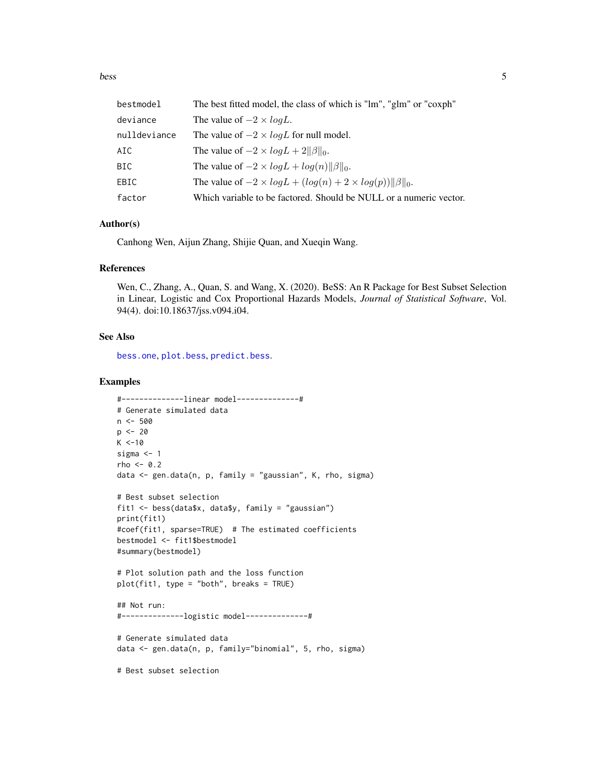<span id="page-4-0"></span>bess 5

| bestmodel    | The best fitted model, the class of which is "lm", "glm" or "coxph"      |
|--------------|--------------------------------------------------------------------------|
| deviance     | The value of $-2 \times logL$ .                                          |
| nulldeviance | The value of $-2 \times log L$ for null model.                           |
| AIC          | The value of $-2 \times log L + 2  \beta  _0$ .                          |
| BIC          | The value of $-2 \times log L + log(n)   \beta  _0$ .                    |
| EBIC         | The value of $-2 \times log L + (log(n) + 2 \times log(p))  \beta  _0$ . |
| factor       | Which variable to be factored. Should be NULL or a numeric vector.       |

# Author(s)

Canhong Wen, Aijun Zhang, Shijie Quan, and Xueqin Wang.

#### References

Wen, C., Zhang, A., Quan, S. and Wang, X. (2020). BeSS: An R Package for Best Subset Selection in Linear, Logistic and Cox Proportional Hazards Models, *Journal of Statistical Software*, Vol. 94(4). doi:10.18637/jss.v094.i04.

#### See Also

[bess.one](#page-6-1), [plot.bess](#page-17-1), [predict.bess](#page-18-1).

```
#--------------linear model--------------#
# Generate simulated data
n < -500p \le -20K < -10sigma <-1rho <- 0.2
data <- gen.data(n, p, family = "gaussian", K, rho, sigma)
# Best subset selection
fit1 <- bess(data$x, data$y, family = "gaussian")
print(fit1)
#coef(fit1, sparse=TRUE) # The estimated coefficients
bestmodel <- fit1$bestmodel
#summary(bestmodel)
# Plot solution path and the loss function
plot(fit1, type = "both", breaks = TRUE)
## Not run:
#--------------logistic model--------------#
# Generate simulated data
data <- gen.data(n, p, family="binomial", 5, rho, sigma)
# Best subset selection
```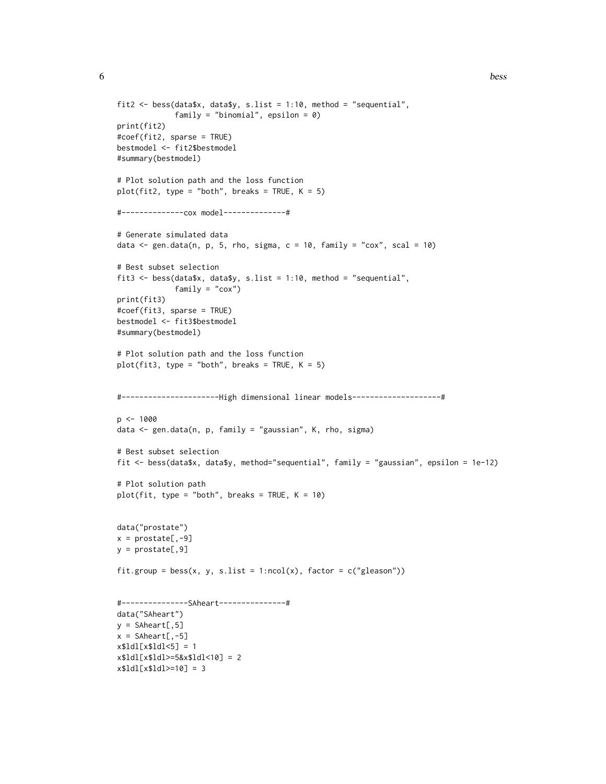```
fit2 <- bess(data$x, data$y, s.list = 1:10, method = "sequential",
             family = "binomial", epsilon = 0)
print(fit2)
#coef(fit2, sparse = TRUE)
bestmodel <- fit2$bestmodel
#summary(bestmodel)
# Plot solution path and the loss function
plot(fit2, type = "both", breaks = TRUE, K = 5)#--------------cox model--------------#
# Generate simulated data
data \leq gen.data(n, p, 5, rho, sigma, c = 10, family = "cox", scal = 10)
# Best subset selection
fit3 <- bess(data$x, data$y, s.list = 1:10, method = "sequential",
             family = "cox")print(fit3)
#coef(fit3, sparse = TRUE)
bestmodel <- fit3$bestmodel
#summary(bestmodel)
# Plot solution path and the loss function
plot(fit3, type = "both", breaks = TRUE, K = 5)
#----------------------High dimensional linear models--------------------#
p <- 1000
data <- gen.data(n, p, family = "gaussian", K, rho, sigma)
# Best subset selection
fit <- bess(data$x, data$y, method="sequential", family = "gaussian", epsilon = 1e-12)
# Plot solution path
plot(fit, type = "both", breaks = TRUE, K = 10)data("prostate")
x = \text{prostate}[,-9]
y = prostate[,9]
fit.group = bess(x, y, s.list = 1:ncol(x), factor = c("gleason"))#---------------SAheart---------------#
data("SAheart")
y = Shheart[, 5]x = Shheart[, -5]x$1d1[x$1d1<5] = 1x$1d1[x$1d1>=5&x$1d1<10]=2x$1d1[x$1d1>=10] = 3
```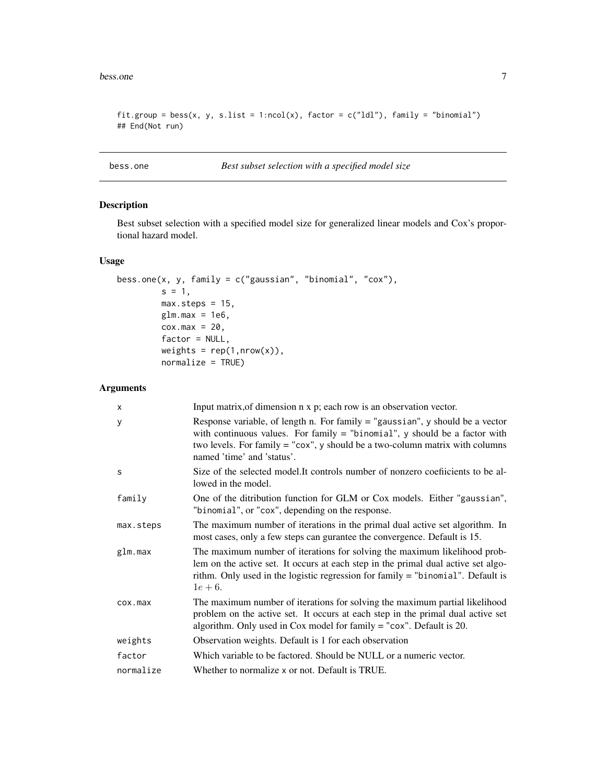#### <span id="page-6-0"></span>bess.one 7

```
fit.group = bess(x, y, s.list = 1:ncol(x), factor = c("ldl"), family = "binomial")
## End(Not run)
```
# <span id="page-6-1"></span>bess.one *Best subset selection with a specified model size*

# Description

Best subset selection with a specified model size for generalized linear models and Cox's proportional hazard model.

# Usage

```
bess.one(x, y, family = c("gaussian", "binomial", "cox"),
         s = 1,
         max.steps = 15,
         glm.max = 1e6,
         \cos \cdot \text{max} = 20,
         factor = NULL,
         weights = rep(1,nrow(x)),normalize = TRUE)
```
#### Arguments

| X         | Input matrix, of dimension n x p; each row is an observation vector.                                                                                                                                                                                                            |
|-----------|---------------------------------------------------------------------------------------------------------------------------------------------------------------------------------------------------------------------------------------------------------------------------------|
| У         | Response variable, of length n. For family $=$ "gaussian", y should be a vector<br>with continuous values. For family $=$ "binomial", y should be a factor with<br>two levels. For family $=$ "cox", y should be a two-column matrix with columns<br>named 'time' and 'status'. |
| S         | Size of the selected model. It controls number of nonzero coefficients to be al-<br>lowed in the model.                                                                                                                                                                         |
| family    | One of the ditribution function for GLM or Cox models. Either "gaussian",<br>"binomial", or "cox", depending on the response.                                                                                                                                                   |
| max.steps | The maximum number of iterations in the primal dual active set algorithm. In<br>most cases, only a few steps can gurantee the convergence. Default is 15.                                                                                                                       |
| glm.max   | The maximum number of iterations for solving the maximum likelihood prob-<br>lem on the active set. It occurs at each step in the primal dual active set algo-<br>rithm. Only used in the logistic regression for family $=$ "binomial". Default is<br>$1e+6.$                  |
| cox.max   | The maximum number of iterations for solving the maximum partial likelihood<br>problem on the active set. It occurs at each step in the primal dual active set<br>algorithm. Only used in Cox model for family $=$ "cox". Default is 20.                                        |
| weights   | Observation weights. Default is 1 for each observation                                                                                                                                                                                                                          |
| factor    | Which variable to be factored. Should be NULL or a numeric vector.                                                                                                                                                                                                              |
| normalize | Whether to normalize x or not. Default is TRUE.                                                                                                                                                                                                                                 |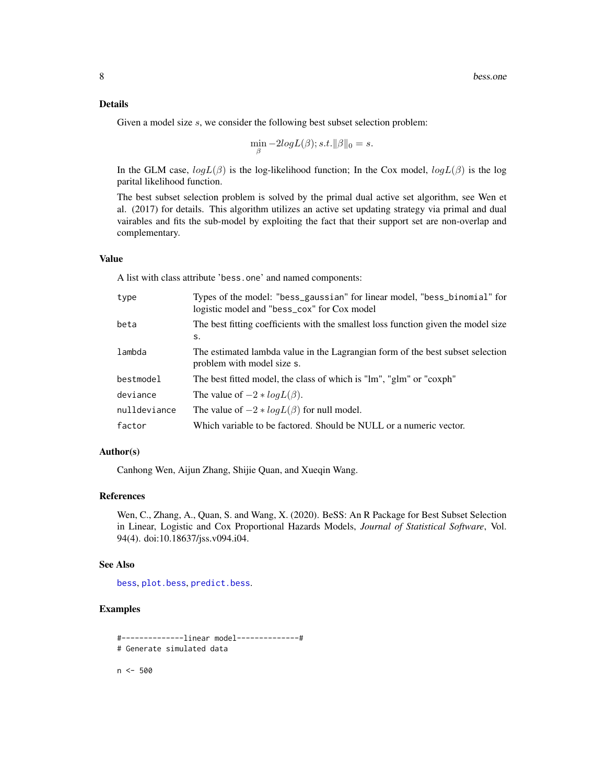#### <span id="page-7-0"></span>Details

Given a model size s, we consider the following best subset selection problem:

$$
\min_{\beta} -2logL(\beta); s.t. ||\beta||_0 = s.
$$

In the GLM case,  $logL(\beta)$  is the log-likelihood function; In the Cox model,  $logL(\beta)$  is the log parital likelihood function.

The best subset selection problem is solved by the primal dual active set algorithm, see Wen et al. (2017) for details. This algorithm utilizes an active set updating strategy via primal and dual vairables and fits the sub-model by exploiting the fact that their support set are non-overlap and complementary.

#### Value

A list with class attribute 'bess.one' and named components:

| type         | Types of the model: "bess_gaussian" for linear model, "bess_binomial" for<br>logistic model and "bess_cox" for Cox model |
|--------------|--------------------------------------------------------------------------------------------------------------------------|
| beta         | The best fitting coefficients with the smallest loss function given the model size<br>s.                                 |
| lambda       | The estimated lambda value in the Lagrangian form of the best subset selection<br>problem with model size s.             |
| bestmodel    | The best fitted model, the class of which is "lm", "glm" or "coxph"                                                      |
| deviance     | The value of $-2 * logL(\beta)$ .                                                                                        |
| nulldeviance | The value of $-2 * logL(\beta)$ for null model.                                                                          |
| factor       | Which variable to be factored. Should be NULL or a numeric vector.                                                       |

#### Author(s)

Canhong Wen, Aijun Zhang, Shijie Quan, and Xueqin Wang.

# References

Wen, C., Zhang, A., Quan, S. and Wang, X. (2020). BeSS: An R Package for Best Subset Selection in Linear, Logistic and Cox Proportional Hazards Models, *Journal of Statistical Software*, Vol. 94(4). doi:10.18637/jss.v094.i04.

#### See Also

[bess](#page-2-1), [plot.bess](#page-17-1), [predict.bess](#page-18-1).

# Examples

```
#--------------linear model--------------#
# Generate simulated data
```
n <- 500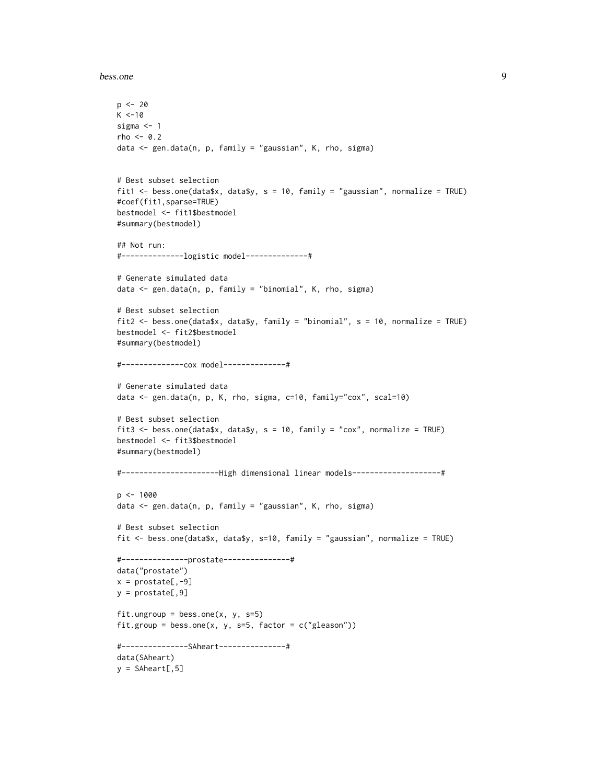bess.one 9

```
p \le -20K < -10sigma <- 1
rho <-0.2data <- gen.data(n, p, family = "gaussian", K, rho, sigma)
# Best subset selection
fit1 <- bess.one(data$x, data$y, s = 10, family = "gaussian", normalize = TRUE)
#coef(fit1,sparse=TRUE)
bestmodel <- fit1$bestmodel
#summary(bestmodel)
## Not run:
#--------------logistic model--------------#
# Generate simulated data
data <- gen.data(n, p, family = "binomial", K, rho, sigma)
# Best subset selection
fit2 <- bess.one(data$x, data$y, family = "binomial", s = 10, normalize = TRUE)
bestmodel <- fit2$bestmodel
#summary(bestmodel)
#--------------cox model--------------#
# Generate simulated data
data <- gen.data(n, p, K, rho, sigma, c=10, family="cox", scal=10)
# Best subset selection
fit3 <- bess.one(data$x, data$y, s = 10, family = "cox", normalize = TRUE)
bestmodel <- fit3$bestmodel
#summary(bestmodel)
#----------------------High dimensional linear models--------------------#
p \le -1000data <- gen.data(n, p, family = "gaussian", K, rho, sigma)
# Best subset selection
fit <- bess.one(data$x, data$y, s=10, family = "gaussian", normalize = TRUE)
#---------------prostate---------------#
data("prostate")
x = \text{prostate}[, -9]y =prostate[,9]
fit.ungroup = bess.one(x, y, s=5)fit.group = bess.one(x, y, s=5, factor = c("gleason"))#---------------SAheart---------------#
data(SAheart)
y = Shheart[, 5]
```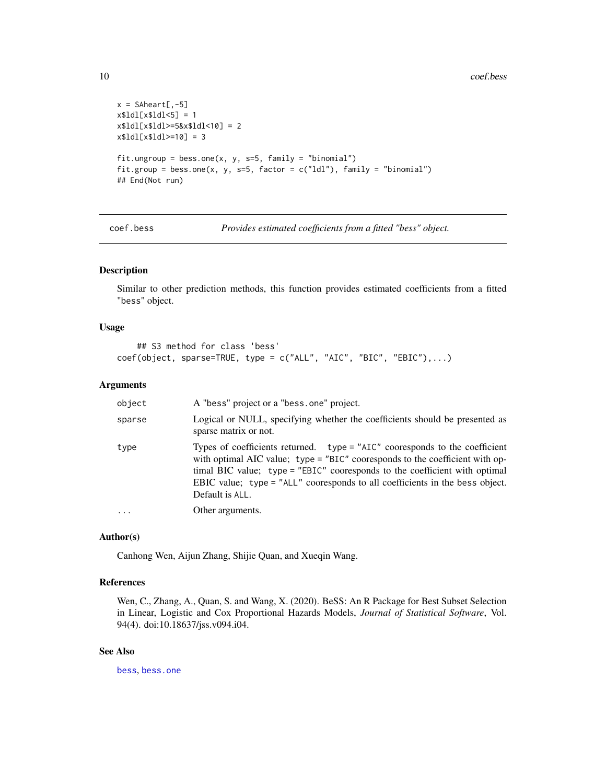```
x = Shheart[, -5]x$1d1[x$1d1<5] = 1x$1d1[x$1d1>=5&x$1d1<10] = 2x$1d1[x$1d1>=10] = 3fit.ungroup = bess.one(x, y, s=5, f=||y = "binomial")fit.group = bess.one(x, y, s=5, factor = c("Idl"), family = "binomial")
## End(Not run)
```
coef.bess *Provides estimated coefficients from a fitted "bess" object.*

# Description

Similar to other prediction methods, this function provides estimated coefficients from a fitted "bess" object.

#### Usage

```
## S3 method for class 'bess'
coef(object, sparse=TRUE, type = c("ALL", "AIC", "BIC", "EBIC"),...)
```
#### Arguments

| object | A "bess" project or a "bess.one" project.                                                                                                                                                                                                                                                                                                      |
|--------|------------------------------------------------------------------------------------------------------------------------------------------------------------------------------------------------------------------------------------------------------------------------------------------------------------------------------------------------|
| sparse | Logical or NULL, specifying whether the coefficients should be presented as<br>sparse matrix or not.                                                                                                                                                                                                                                           |
| type   | Types of coefficients returned. $type = "AIC"$ cooresponds to the coefficient<br>with optimal AIC value; type = "BIC" cooresponds to the coefficient with op-<br>timal BIC value; type = "EBIC" cooresponds to the coefficient with optimal<br>EBIC value; type = "ALL" cooresponds to all coefficients in the bess object.<br>Default is ALL. |
| .      | Other arguments.                                                                                                                                                                                                                                                                                                                               |
|        |                                                                                                                                                                                                                                                                                                                                                |

#### Author(s)

Canhong Wen, Aijun Zhang, Shijie Quan, and Xueqin Wang.

#### References

Wen, C., Zhang, A., Quan, S. and Wang, X. (2020). BeSS: An R Package for Best Subset Selection in Linear, Logistic and Cox Proportional Hazards Models, *Journal of Statistical Software*, Vol. 94(4). doi:10.18637/jss.v094.i04.

# See Also

[bess](#page-2-1), [bess.one](#page-6-1)

<span id="page-9-0"></span>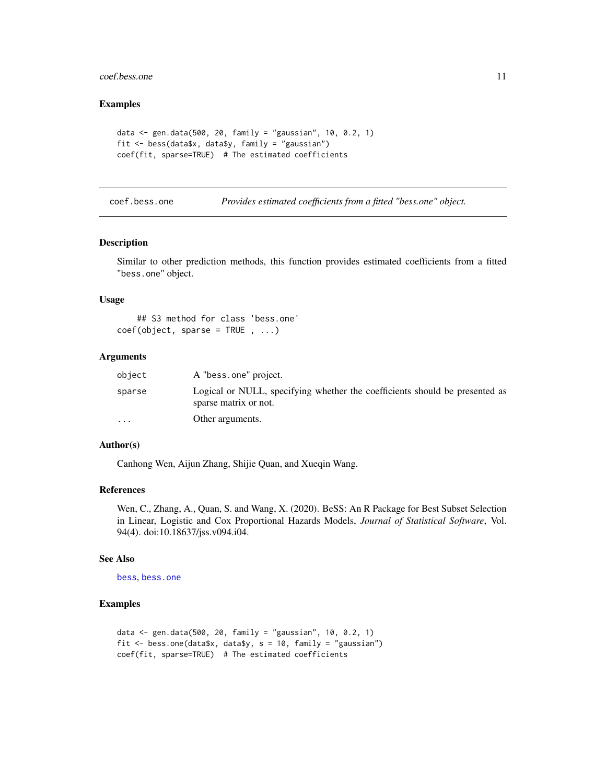# <span id="page-10-0"></span>coef.bess.one 11

#### Examples

```
data <- gen.data(500, 20, family = "gaussian", 10, 0.2, 1)
fit <- bess(data$x, data$y, family = "gaussian")
coef(fit, sparse=TRUE) # The estimated coefficients
```
coef.bess.one *Provides estimated coefficients from a fitted "bess.one" object.*

#### Description

Similar to other prediction methods, this function provides estimated coefficients from a fitted "bess.one" object.

#### Usage

```
## S3 method for class 'bess.one'
coef(object, sparse = TRUE , ...)
```
#### Arguments

| object    | A "bess.one" project.                                                                                |
|-----------|------------------------------------------------------------------------------------------------------|
| sparse    | Logical or NULL, specifying whether the coefficients should be presented as<br>sparse matrix or not. |
| $\ddotsc$ | Other arguments.                                                                                     |

# Author(s)

Canhong Wen, Aijun Zhang, Shijie Quan, and Xueqin Wang.

# References

Wen, C., Zhang, A., Quan, S. and Wang, X. (2020). BeSS: An R Package for Best Subset Selection in Linear, Logistic and Cox Proportional Hazards Models, *Journal of Statistical Software*, Vol. 94(4). doi:10.18637/jss.v094.i04.

#### See Also

[bess](#page-2-1), [bess.one](#page-6-1)

```
data <- gen.data(500, 20, family = "gaussian", 10, 0.2, 1)
fit <- bess.one(data$x, data$y, s = 10, family = "gaussian")
coef(fit, sparse=TRUE) # The estimated coefficients
```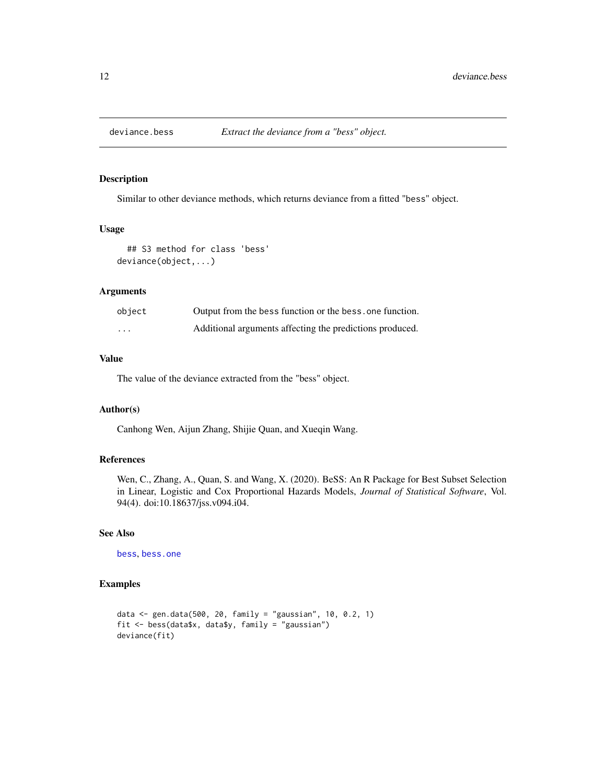<span id="page-11-0"></span>

Similar to other deviance methods, which returns deviance from a fitted "bess" object.

#### Usage

```
## S3 method for class 'bess'
deviance(object,...)
```
#### Arguments

| object   | Output from the bess function or the bess, one function. |
|----------|----------------------------------------------------------|
| $\cdots$ | Additional arguments affecting the predictions produced. |

# Value

The value of the deviance extracted from the "bess" object.

#### Author(s)

Canhong Wen, Aijun Zhang, Shijie Quan, and Xueqin Wang.

#### References

Wen, C., Zhang, A., Quan, S. and Wang, X. (2020). BeSS: An R Package for Best Subset Selection in Linear, Logistic and Cox Proportional Hazards Models, *Journal of Statistical Software*, Vol. 94(4). doi:10.18637/jss.v094.i04.

# See Also

[bess](#page-2-1), [bess.one](#page-6-1)

```
data <- gen.data(500, 20, family = "gaussian", 10, 0.2, 1)
fit \leq bess(data$x, data$y, family = "gaussian")
deviance(fit)
```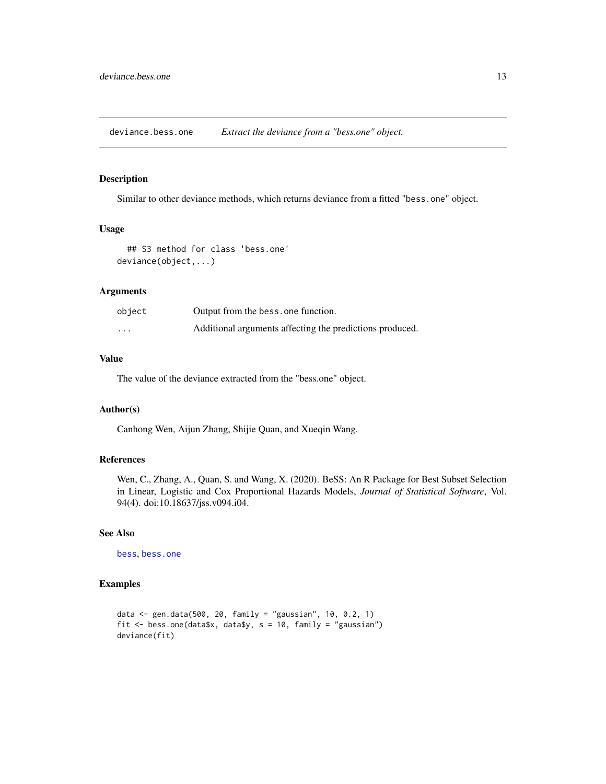<span id="page-12-0"></span>deviance.bess.one *Extract the deviance from a "bess.one" object.*

# **Description**

Similar to other deviance methods, which returns deviance from a fitted "bess.one" object.

#### Usage

```
## S3 method for class 'bess.one'
deviance(object,...)
```
# Arguments

| object   | Output from the bess, one function.                      |
|----------|----------------------------------------------------------|
| $\cdots$ | Additional arguments affecting the predictions produced. |

# Value

The value of the deviance extracted from the "bess.one" object.

#### Author(s)

Canhong Wen, Aijun Zhang, Shijie Quan, and Xueqin Wang.

#### References

Wen, C., Zhang, A., Quan, S. and Wang, X. (2020). BeSS: An R Package for Best Subset Selection in Linear, Logistic and Cox Proportional Hazards Models, *Journal of Statistical Software*, Vol. 94(4). doi:10.18637/jss.v094.i04.

# See Also

[bess](#page-2-1), [bess.one](#page-6-1)

```
data <- gen.data(500, 20, family = "gaussian", 10, 0.2, 1)
fit \le bess.one(data$x, data$y, s = 10, family = "gaussian")
deviance(fit)
```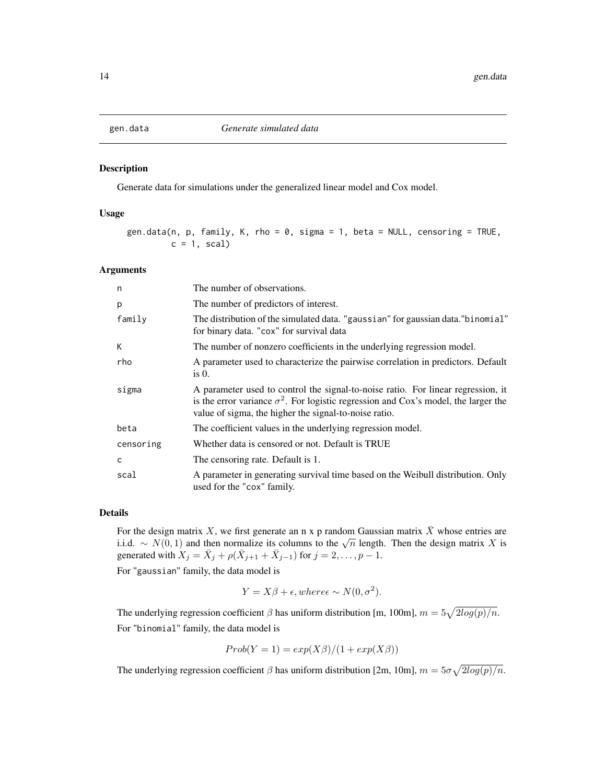<span id="page-13-0"></span>

Generate data for simulations under the generalized linear model and Cox model.

#### Usage

```
gen.data(n, p, family, K, rho = 0, sigma = 1, beta = NULL, censoring = TRUE,
        c = 1, scal)
```
#### Arguments

| n         | The number of observations.                                                                                                                                                                                                             |
|-----------|-----------------------------------------------------------------------------------------------------------------------------------------------------------------------------------------------------------------------------------------|
| p         | The number of predictors of interest.                                                                                                                                                                                                   |
| family    | The distribution of the simulated data. "gaussian" for gaussian data." binomial"<br>for binary data. "cox" for survival data                                                                                                            |
| К         | The number of nonzero coefficients in the underlying regression model.                                                                                                                                                                  |
| rho       | A parameter used to characterize the pairwise correlation in predictors. Default<br>is $0$ .                                                                                                                                            |
| sigma     | A parameter used to control the signal-to-noise ratio. For linear regression, it<br>is the error variance $\sigma^2$ . For logistic regression and Cox's model, the larger the<br>value of sigma, the higher the signal-to-noise ratio. |
| beta      | The coefficient values in the underlying regression model.                                                                                                                                                                              |
| censoring | Whether data is censored or not. Default is TRUE                                                                                                                                                                                        |
| C         | The censoring rate. Default is 1.                                                                                                                                                                                                       |
| scal      | A parameter in generating survival time based on the Weibull distribution. Only<br>used for the "cox" family.                                                                                                                           |

#### Details

For the design matrix X, we first generate an n x p random Gaussian matrix  $\bar{X}$  whose entries are For the design matrix A, we first generate an if x p random Gaussian matrix A whose entries are i.i.d. ~  $N(0, 1)$  and then normalize its columns to the  $\sqrt{n}$  length. Then the design matrix X is generated with  $X_j = \overline{X}_j + \rho(\overline{X}_{j+1} + \overline{X}_{j-1})$  for  $j = 2, \ldots, p-1$ .

For "gaussian" family, the data model is

$$
Y = X\beta + \epsilon, where \epsilon \sim N(0, \sigma^2).
$$

The underlying regression coefficient  $\beta$  has uniform distribution [m, 100m],  $m = 5\sqrt{2log(p)/n}$ . For "binomial" family, the data model is

$$
Prob(Y = 1) = exp(X\beta)/(1 + exp(X\beta))
$$

The underlying regression coefficient  $\beta$  has uniform distribution [2m, 10m],  $m = 5\sigma\sqrt{2log(p)/n}$ .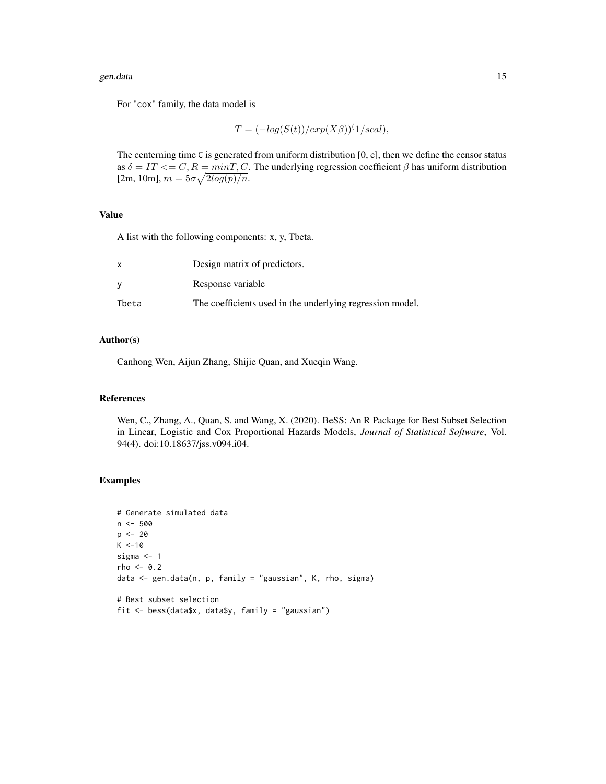#### gen.data 15

For "cox" family, the data model is

$$
T = (-\log(S(t))/\exp(X\beta))^{(1/scal)},
$$

The centerning time C is generated from uniform distribution [0, c], then we define the censor status as  $\delta = IT \leq C, R = minT, C$ . The underlying regression coefficient  $\beta$  has uniform distribution  $[2m, 10m], m = 5\sigma \sqrt{2log(p)/n}.$ 

# Value

A list with the following components: x, y, Tbeta.

| x     | Design matrix of predictors.                              |
|-------|-----------------------------------------------------------|
|       | Response variable                                         |
| Tbeta | The coefficients used in the underlying regression model. |

#### Author(s)

Canhong Wen, Aijun Zhang, Shijie Quan, and Xueqin Wang.

# References

Wen, C., Zhang, A., Quan, S. and Wang, X. (2020). BeSS: An R Package for Best Subset Selection in Linear, Logistic and Cox Proportional Hazards Models, *Journal of Statistical Software*, Vol. 94(4). doi:10.18637/jss.v094.i04.

```
# Generate simulated data
n < -500p <- 20
K < -10sigma <- 1
rho <-0.2data <- gen.data(n, p, family = "gaussian", K, rho, sigma)
# Best subset selection
fit <- bess(data$x, data$y, family = "gaussian")
```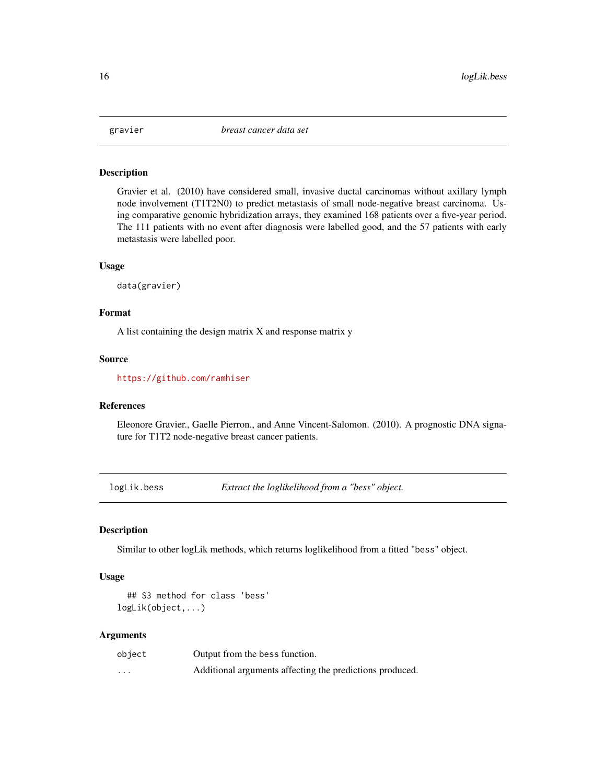<span id="page-15-0"></span>

Gravier et al. (2010) have considered small, invasive ductal carcinomas without axillary lymph node involvement (T1T2N0) to predict metastasis of small node-negative breast carcinoma. Using comparative genomic hybridization arrays, they examined 168 patients over a five-year period. The 111 patients with no event after diagnosis were labelled good, and the 57 patients with early metastasis were labelled poor.

#### Usage

data(gravier)

#### Format

A list containing the design matrix X and response matrix y

# Source

<https://github.com/ramhiser>

# References

Eleonore Gravier., Gaelle Pierron., and Anne Vincent-Salomon. (2010). A prognostic DNA signature for T1T2 node-negative breast cancer patients.

logLik.bess *Extract the loglikelihood from a "bess" object.*

# Description

Similar to other logLik methods, which returns loglikelihood from a fitted "bess" object.

#### Usage

```
## S3 method for class 'bess'
logLik(object,...)
```
#### Arguments

| object            | Output from the bess function.                           |
|-------------------|----------------------------------------------------------|
| $\cdot\cdot\cdot$ | Additional arguments affecting the predictions produced. |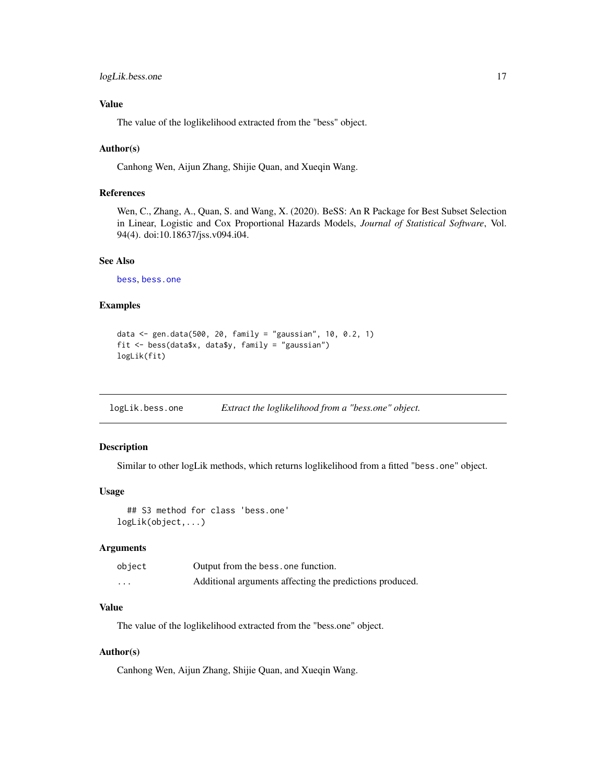# <span id="page-16-0"></span>Value

The value of the loglikelihood extracted from the "bess" object.

#### Author(s)

Canhong Wen, Aijun Zhang, Shijie Quan, and Xueqin Wang.

#### References

Wen, C., Zhang, A., Quan, S. and Wang, X. (2020). BeSS: An R Package for Best Subset Selection in Linear, Logistic and Cox Proportional Hazards Models, *Journal of Statistical Software*, Vol. 94(4). doi:10.18637/jss.v094.i04.

# See Also

[bess](#page-2-1), [bess.one](#page-6-1)

#### Examples

```
data <- gen.data(500, 20, family = "gaussian", 10, 0.2, 1)
fit <- bess(data$x, data$y, family = "gaussian")
logLik(fit)
```
logLik.bess.one *Extract the loglikelihood from a "bess.one" object.*

# Description

Similar to other logLik methods, which returns loglikelihood from a fitted "bess.one" object.

#### Usage

```
## S3 method for class 'bess.one'
logLik(object,...)
```
# Arguments

| object   | Output from the bess, one function.                      |
|----------|----------------------------------------------------------|
| $\cdots$ | Additional arguments affecting the predictions produced. |

# Value

The value of the loglikelihood extracted from the "bess.one" object.

#### Author(s)

Canhong Wen, Aijun Zhang, Shijie Quan, and Xueqin Wang.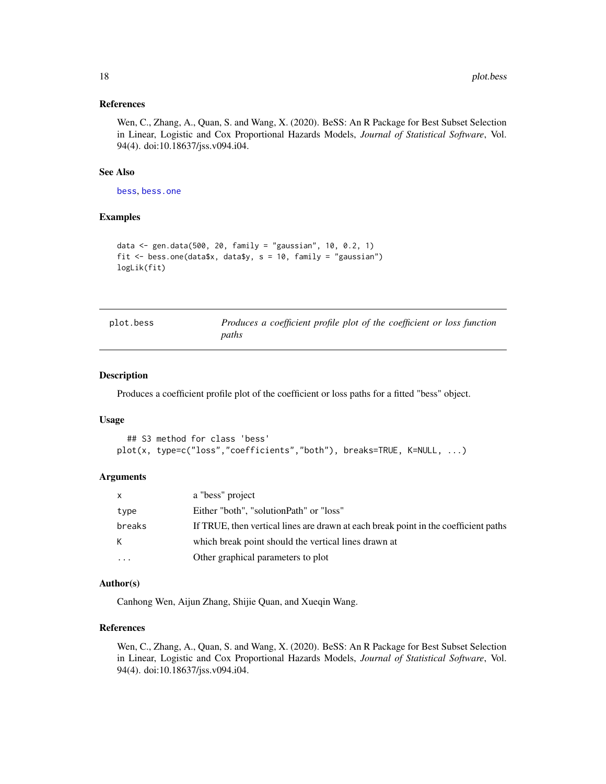#### <span id="page-17-0"></span>References

Wen, C., Zhang, A., Quan, S. and Wang, X. (2020). BeSS: An R Package for Best Subset Selection in Linear, Logistic and Cox Proportional Hazards Models, *Journal of Statistical Software*, Vol. 94(4). doi:10.18637/jss.v094.i04.

#### See Also

[bess](#page-2-1), [bess.one](#page-6-1)

# Examples

```
data <- gen.data(500, 20, family = "gaussian", 10, 0.2, 1)
fit \le bess.one(data$x, data$y, s = 10, family = "gaussian")
logLik(fit)
```
<span id="page-17-1"></span>

| plot.bess | Produces a coefficient profile plot of the coefficient or loss function |
|-----------|-------------------------------------------------------------------------|
|           | paths                                                                   |

#### Description

Produces a coefficient profile plot of the coefficient or loss paths for a fitted "bess" object.

#### Usage

```
## S3 method for class 'bess'
plot(x, type=c("loss","coefficients","both"), breaks=TRUE, K=NULL, ...)
```
#### Arguments

| $\mathsf{x}$            | a "bess" project                                                                    |
|-------------------------|-------------------------------------------------------------------------------------|
| type                    | Either "both", "solutionPath" or "loss"                                             |
| breaks                  | If TRUE, then vertical lines are drawn at each break point in the coefficient paths |
| K                       | which break point should the vertical lines drawn at                                |
| $\cdot$ $\cdot$ $\cdot$ | Other graphical parameters to plot                                                  |

# Author(s)

Canhong Wen, Aijun Zhang, Shijie Quan, and Xueqin Wang.

# References

Wen, C., Zhang, A., Quan, S. and Wang, X. (2020). BeSS: An R Package for Best Subset Selection in Linear, Logistic and Cox Proportional Hazards Models, *Journal of Statistical Software*, Vol. 94(4). doi:10.18637/jss.v094.i04.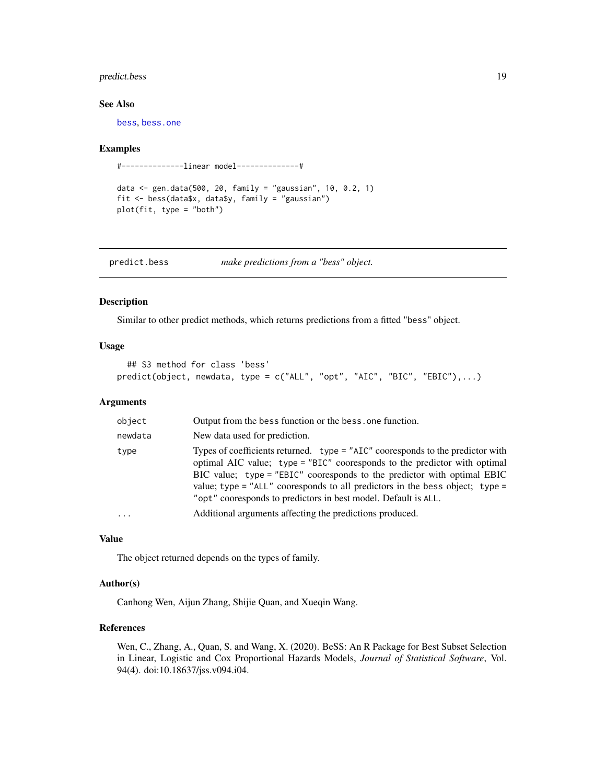# <span id="page-18-0"></span>predict.bess 19

# See Also

[bess](#page-2-1), [bess.one](#page-6-1)

#### Examples

#--------------linear model--------------#

data <- gen.data(500, 20, family = "gaussian", 10, 0.2, 1) fit <- bess(data\$x, data\$y, family = "gaussian") plot(fit, type = "both")

<span id="page-18-1"></span>

| predict.bess | make predictions from a "bess" object. |
|--------------|----------------------------------------|
|              |                                        |

# Description

Similar to other predict methods, which returns predictions from a fitted "bess" object.

#### Usage

```
## S3 method for class 'bess'
predict(object, newdata, type = c("ALL", "opt", "AIC", "BIC", "EBIC"),...)
```
#### Arguments

| object   | Output from the bess function or the bess, one function.                                                                                                                                                                                                                                                                                                                                       |
|----------|------------------------------------------------------------------------------------------------------------------------------------------------------------------------------------------------------------------------------------------------------------------------------------------------------------------------------------------------------------------------------------------------|
| newdata  | New data used for prediction.                                                                                                                                                                                                                                                                                                                                                                  |
| type     | Types of coefficients returned. type = "AIC" cooresponds to the predictor with<br>optimal AIC value; type = "BIC" cooresponds to the predictor with optimal<br>BIC value; $type = "EBIC"$ cooresponds to the predictor with optimal EBIC<br>value; type = " $ALL$ " cooresponds to all predictors in the bess object; type =<br>"opt" cooresponds to predictors in best model. Default is ALL. |
| $\cdots$ | Additional arguments affecting the predictions produced.                                                                                                                                                                                                                                                                                                                                       |
|          |                                                                                                                                                                                                                                                                                                                                                                                                |

#### Value

The object returned depends on the types of family.

# Author(s)

Canhong Wen, Aijun Zhang, Shijie Quan, and Xueqin Wang.

# References

Wen, C., Zhang, A., Quan, S. and Wang, X. (2020). BeSS: An R Package for Best Subset Selection in Linear, Logistic and Cox Proportional Hazards Models, *Journal of Statistical Software*, Vol. 94(4). doi:10.18637/jss.v094.i04.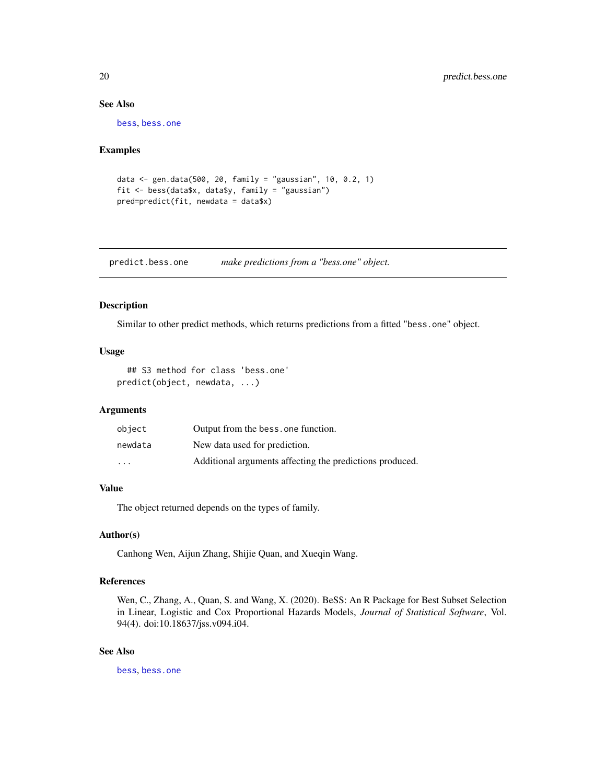# See Also

[bess](#page-2-1), [bess.one](#page-6-1)

#### Examples

```
data <- gen.data(500, 20, family = "gaussian", 10, 0.2, 1)
fit <- bess(data$x, data$y, family = "gaussian")
pred=predict(fit, newdata = data$x)
```
predict.bess.one *make predictions from a "bess.one" object.*

# Description

Similar to other predict methods, which returns predictions from a fitted "bess.one" object.

#### Usage

```
## S3 method for class 'bess.one'
predict(object, newdata, ...)
```
# **Arguments**

| object                  | Output from the bess, one function.                      |
|-------------------------|----------------------------------------------------------|
| newdata                 | New data used for prediction.                            |
| $\cdot$ $\cdot$ $\cdot$ | Additional arguments affecting the predictions produced. |

#### Value

The object returned depends on the types of family.

#### Author(s)

Canhong Wen, Aijun Zhang, Shijie Quan, and Xueqin Wang.

#### References

Wen, C., Zhang, A., Quan, S. and Wang, X. (2020). BeSS: An R Package for Best Subset Selection in Linear, Logistic and Cox Proportional Hazards Models, *Journal of Statistical Software*, Vol. 94(4). doi:10.18637/jss.v094.i04.

# See Also

[bess](#page-2-1), [bess.one](#page-6-1)

<span id="page-19-0"></span>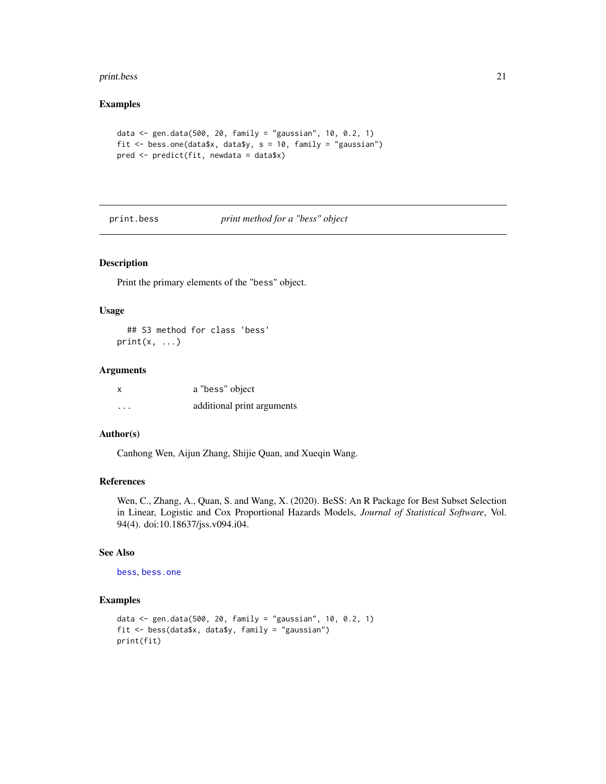#### <span id="page-20-0"></span>print.bess 21

#### Examples

```
data <- gen.data(500, 20, family = "gaussian", 10, 0.2, 1)
fit <- bess.one(data$x, data$y, s = 10, family = "gaussian")
pred <- predict(fit, newdata = data$x)
```
#### print.bess *print method for a "bess" object*

#### Description

Print the primary elements of the "bess" object.

#### Usage

```
## S3 method for class 'bess'
print(x, \ldots)
```
# Arguments

| x        | a "bess" object            |
|----------|----------------------------|
| $\cdots$ | additional print arguments |

#### Author(s)

Canhong Wen, Aijun Zhang, Shijie Quan, and Xueqin Wang.

# References

Wen, C., Zhang, A., Quan, S. and Wang, X. (2020). BeSS: An R Package for Best Subset Selection in Linear, Logistic and Cox Proportional Hazards Models, *Journal of Statistical Software*, Vol. 94(4). doi:10.18637/jss.v094.i04.

# See Also

[bess](#page-2-1), [bess.one](#page-6-1)

```
data <- gen.data(500, 20, family = "gaussian", 10, 0.2, 1)
fit <- bess(data$x, data$y, family = "gaussian")
print(fit)
```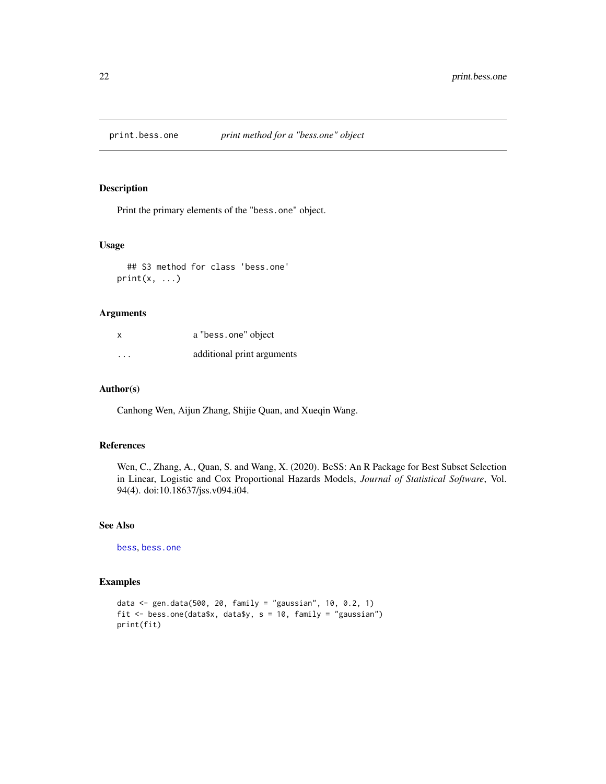<span id="page-21-0"></span>

Print the primary elements of the "bess.one" object.

# Usage

## S3 method for class 'bess.one'  $print(x, \ldots)$ 

#### Arguments

| X        | a "bess.one" object        |
|----------|----------------------------|
| $\cdots$ | additional print arguments |

#### Author(s)

Canhong Wen, Aijun Zhang, Shijie Quan, and Xueqin Wang.

# References

Wen, C., Zhang, A., Quan, S. and Wang, X. (2020). BeSS: An R Package for Best Subset Selection in Linear, Logistic and Cox Proportional Hazards Models, *Journal of Statistical Software*, Vol. 94(4). doi:10.18637/jss.v094.i04.

#### See Also

[bess](#page-2-1), [bess.one](#page-6-1)

```
data <- gen.data(500, 20, family = "gaussian", 10, 0.2, 1)
fit <- bess.one(data$x, data$y, s = 10, family = "gaussian")
print(fit)
```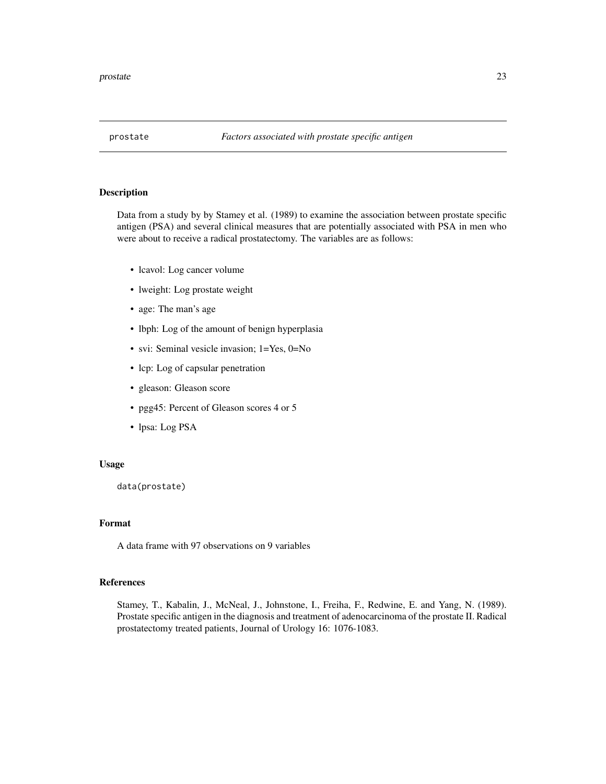<span id="page-22-0"></span>

Data from a study by by Stamey et al. (1989) to examine the association between prostate specific antigen (PSA) and several clinical measures that are potentially associated with PSA in men who were about to receive a radical prostatectomy. The variables are as follows:

- lcavol: Log cancer volume
- lweight: Log prostate weight
- age: The man's age
- lbph: Log of the amount of benign hyperplasia
- svi: Seminal vesicle invasion; 1=Yes, 0=No
- lcp: Log of capsular penetration
- gleason: Gleason score
- pgg45: Percent of Gleason scores 4 or 5
- lpsa: Log PSA

#### Usage

data(prostate)

# Format

A data frame with 97 observations on 9 variables

# References

Stamey, T., Kabalin, J., McNeal, J., Johnstone, I., Freiha, F., Redwine, E. and Yang, N. (1989). Prostate specific antigen in the diagnosis and treatment of adenocarcinoma of the prostate II. Radical prostatectomy treated patients, Journal of Urology 16: 1076-1083.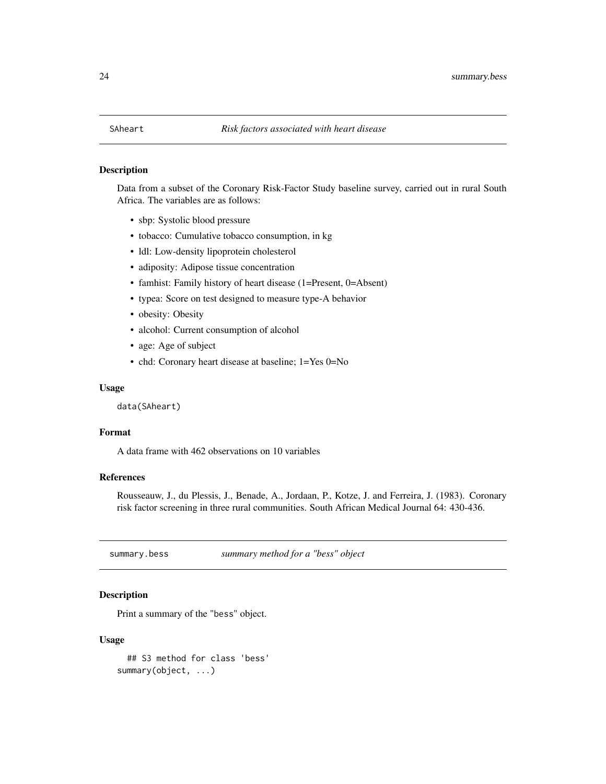<span id="page-23-0"></span>Data from a subset of the Coronary Risk-Factor Study baseline survey, carried out in rural South Africa. The variables are as follows:

- sbp: Systolic blood pressure
- tobacco: Cumulative tobacco consumption, in kg
- ldl: Low-density lipoprotein cholesterol
- adiposity: Adipose tissue concentration
- famhist: Family history of heart disease (1=Present, 0=Absent)
- typea: Score on test designed to measure type-A behavior
- obesity: Obesity
- alcohol: Current consumption of alcohol
- age: Age of subject
- chd: Coronary heart disease at baseline; 1=Yes 0=No

#### Usage

data(SAheart)

# Format

A data frame with 462 observations on 10 variables

# References

Rousseauw, J., du Plessis, J., Benade, A., Jordaan, P., Kotze, J. and Ferreira, J. (1983). Coronary risk factor screening in three rural communities. South African Medical Journal 64: 430-436.

summary.bess *summary method for a "bess" object*

#### **Description**

Print a summary of the "bess" object.

#### Usage

```
## S3 method for class 'bess'
summary(object, ...)
```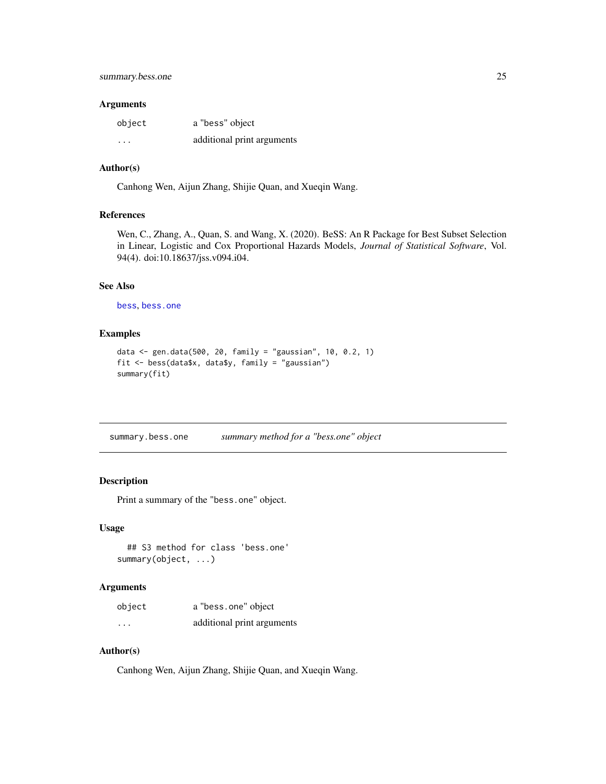#### <span id="page-24-0"></span>Arguments

| object   | a "bess" object            |
|----------|----------------------------|
| $\cdots$ | additional print arguments |

#### Author(s)

Canhong Wen, Aijun Zhang, Shijie Quan, and Xueqin Wang.

# References

Wen, C., Zhang, A., Quan, S. and Wang, X. (2020). BeSS: An R Package for Best Subset Selection in Linear, Logistic and Cox Proportional Hazards Models, *Journal of Statistical Software*, Vol. 94(4). doi:10.18637/jss.v094.i04.

# See Also

[bess](#page-2-1), [bess.one](#page-6-1)

# Examples

```
data <- gen.data(500, 20, family = "gaussian", 10, 0.2, 1)
fit <- bess(data$x, data$y, family = "gaussian")
summary(fit)
```
summary.bess.one *summary method for a "bess.one" object*

# Description

Print a summary of the "bess.one" object.

#### Usage

```
## S3 method for class 'bess.one'
summary(object, ...)
```
#### Arguments

| object                  | a "bess.one" object        |
|-------------------------|----------------------------|
| $\cdot$ $\cdot$ $\cdot$ | additional print arguments |

# Author(s)

Canhong Wen, Aijun Zhang, Shijie Quan, and Xueqin Wang.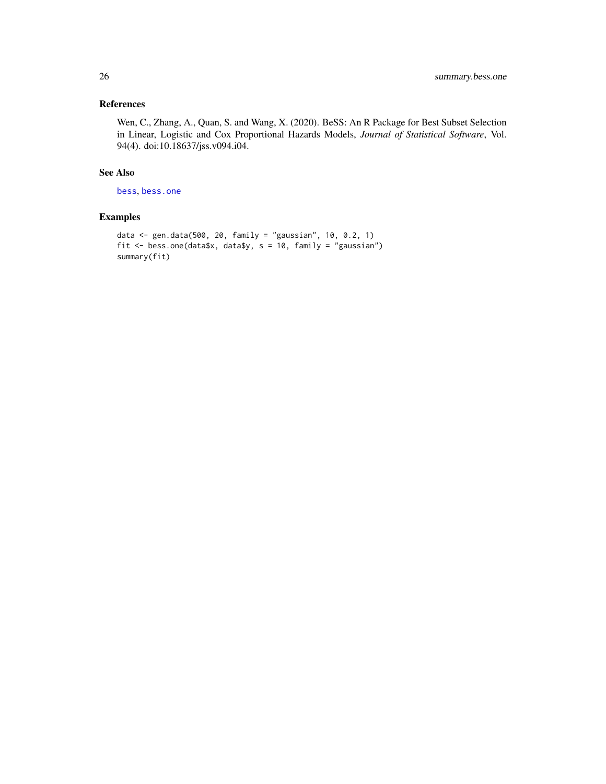# <span id="page-25-0"></span>References

Wen, C., Zhang, A., Quan, S. and Wang, X. (2020). BeSS: An R Package for Best Subset Selection in Linear, Logistic and Cox Proportional Hazards Models, *Journal of Statistical Software*, Vol. 94(4). doi:10.18637/jss.v094.i04.

#### See Also

[bess](#page-2-1), [bess.one](#page-6-1)

```
data <- gen.data(500, 20, family = "gaussian", 10, 0.2, 1)
fit <- bess.one(data$x, data$y, s = 10, family = "gaussian")
summary(fit)
```